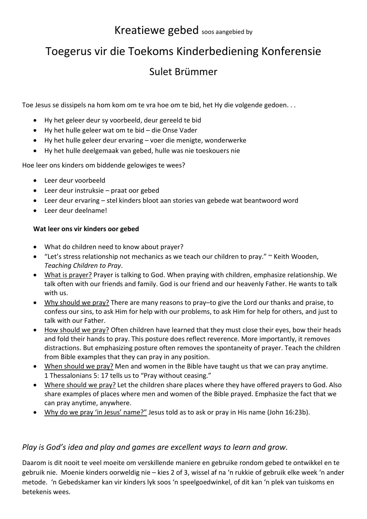# Kreatiewe gebed soos aangebied by

# Toegerus vir die Toekoms Kinderbediening Konferensie

## Sulet Brümmer

Toe Jesus se dissipels na hom kom om te vra hoe om te bid, het Hy die volgende gedoen. . .

- Hy het geleer deur sy voorbeeld, deur gereeld te bid
- Hy het hulle geleer wat om te bid die Onse Vader
- Hy het hulle geleer deur ervaring voer die menigte, wonderwerke
- Hy het hulle deelgemaak van gebed, hulle was nie toeskouers nie

Hoe leer ons kinders om biddende gelowiges te wees?

- Leer deur voorbeeld
- Leer deur instruksie praat oor gebed
- Leer deur ervaring stel kinders bloot aan stories van gebede wat beantwoord word
- Leer deur deelname!

### **Wat leer ons vir kinders oor gebed**

- What do children need to know about prayer?
- "Let's stress relationship not mechanics as we teach our children to pray." ~ Keith Wooden, *Teaching Children to Pray*.
- What is prayer? Prayer is talking to God. When praying with children, emphasize relationship. We talk often with our friends and family. God is our friend and our heavenly Father. He wants to talk with us.
- Why should we pray? There are many reasons to pray–to give the Lord our thanks and praise, to confess our sins, to ask Him for help with our problems, to ask Him for help for others, and just to talk with our Father.
- How should we pray? Often children have learned that they must close their eyes, bow their heads and fold their hands to pray. This posture does reflect reverence. More importantly, it removes distractions. But emphasizing posture often removes the spontaneity of prayer. Teach the children from Bible examples that they can pray in any position.
- When should we pray? Men and women in the Bible have taught us that we can pray anytime. 1 Thessalonians 5: 17 tells us to "Pray without ceasing."
- Where should we pray? Let the children share places where they have offered prayers to God. Also share examples of places where men and women of the Bible prayed. Emphasize the fact that we can pray anytime, anywhere.
- Why do we pray 'in Jesus' name?" Jesus told as to ask or pray in His name (John 16:23b).

## *Play is God's idea and play and games are excellent ways to learn and grow.*

Daarom is dit nooit te veel moeite om verskillende maniere en gebruike rondom gebed te ontwikkel en te gebruik nie. Moenie kinders oorweldig nie – kies 2 of 3, wissel af na 'n rukkie of gebruik elke week 'n ander metode. 'n Gebedskamer kan vir kinders lyk soos 'n speelgoedwinkel, of dit kan 'n plek van tuiskoms en betekenis wees.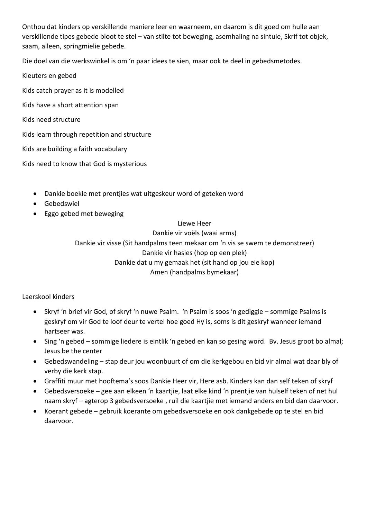Onthou dat kinders op verskillende maniere leer en waarneem, en daarom is dit goed om hulle aan verskillende tipes gebede bloot te stel – van stilte tot beweging, asemhaling na sintuie, Skrif tot objek, saam, alleen, springmielie gebede.

Die doel van die werkswinkel is om 'n paar idees te sien, maar ook te deel in gebedsmetodes.

#### Kleuters en gebed

Kids catch prayer as it is modelled

- Kids have a short attention span
- Kids need structure

Kids learn through repetition and structure

Kids are building a faith vocabulary

Kids need to know that God is mysterious

- Dankie boekie met prentjies wat uitgeskeur word of geteken word
- Gebedswiel
- Eggo gebed met beweging

Liewe Heer

Dankie vir voëls (waai arms) Dankie vir visse (Sit handpalms teen mekaar om 'n vis se swem te demonstreer) Dankie vir hasies (hop op een plek) Dankie dat u my gemaak het (sit hand op jou eie kop) Amen (handpalms bymekaar)

#### Laerskool kinders

- Skryf 'n brief vir God, of skryf 'n nuwe Psalm. 'n Psalm is soos 'n gediggie sommige Psalms is geskryf om vir God te loof deur te vertel hoe goed Hy is, soms is dit geskryf wanneer iemand hartseer was.
- Sing 'n gebed sommige liedere is eintlik 'n gebed en kan so gesing word. Bv. Jesus groot bo almal; Jesus be the center
- Gebedswandeling stap deur jou woonbuurt of om die kerkgebou en bid vir almal wat daar bly of verby die kerk stap.
- Graffiti muur met hooftema's soos Dankie Heer vir, Here asb. Kinders kan dan self teken of skryf
- Gebedsversoeke gee aan elkeen 'n kaartjie, laat elke kind 'n prentjie van hulself teken of net hul naam skryf – agterop 3 gebedsversoeke , ruil die kaartjie met iemand anders en bid dan daarvoor.
- Koerant gebede gebruik koerante om gebedsversoeke en ook dankgebede op te stel en bid daarvoor.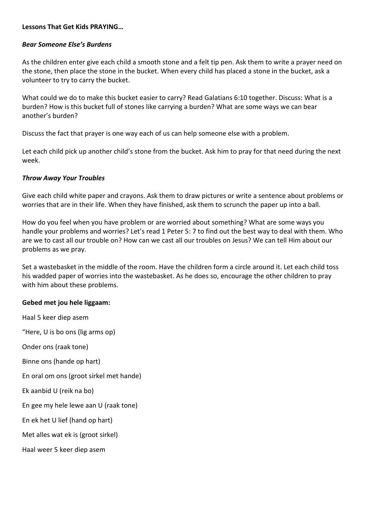#### **Lessons That Get Kids PRAYING…**

#### *Bear Someone Else's Burdens*

As the children enter give each child a smooth stone and a felt tip pen. Ask them to write a prayer need on the stone, then place the stone in the bucket. When every child has placed a stone in the bucket, ask a volunteer to try to carry the bucket.

What could we do to make this bucket easier to carry? Read Galatians 6:10 together. Discuss: What is a burden? How is this bucket full of stones like carrying a burden? What are some ways we can bear another's burden?

Discuss the fact that prayer is one way each of us can help someone else with a problem.

Let each child pick up another child's stone from the bucket. Ask him to pray for that need during the next week.

#### *Throw Away Your Troubles*

Give each child white paper and crayons. Ask them to draw pictures or write a sentence about problems or worries that are in their life. When they have finished, ask them to scrunch the paper up into a ball.

How do you feel when you have problem or are worried about something? What are some ways you handle your problems and worries? Let's read 1 Peter 5: 7 to find out the best way to deal with them. Who are we to cast all our trouble on? How can we cast all our troubles on Jesus? We can tell Him about our problems as we pray.

Set a wastebasket in the middle of the room. Have the children form a circle around it. Let each child toss his wadded paper of worries into the wastebasket. As he does so, encourage the other children to pray with him about these problems.

#### **Gebed met jou hele liggaam:**

Haal 5 keer diep asem "Here, U is bo ons (lig arms op) Onder ons (raak tone) Binne ons (hande op hart) En oral om ons (groot sirkel met hande) Ek aanbid U (reik na bo) En gee my hele lewe aan U (raak tone) En ek het U lief (hand op hart) Met alles wat ek is (groot sirkel) Haal weer 5 keer diep asem